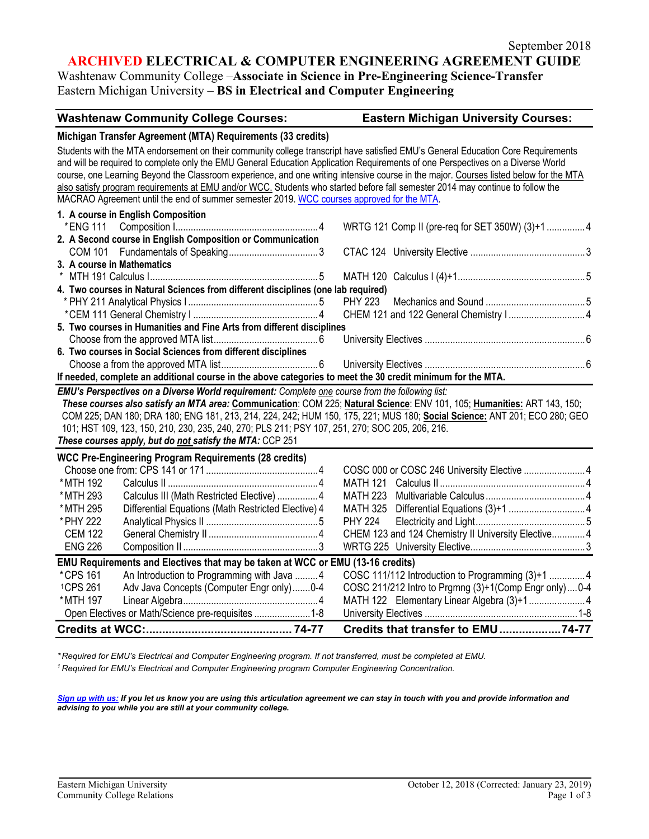# **ARCHIVED ELECTRICAL & COMPUTER ENGINEERING AGREEMENT GUIDE**

Washtenaw Community College –**Associate in Science in Pre-Engineering Science-Transfer** Eastern Michigan University – **BS in Electrical and Computer Engineering**

#### **Washtenaw Community College Courses: Eastern Michigan University Courses:**

#### **Michigan Transfer Agreement (MTA) Requirements (33 credits)**

|                            | also satisfy program requirements at EMU and/or WCC. Students who started before fall semester 2014 may continue to follow the<br>MACRAO Agreement until the end of summer semester 2019. WCC courses approved for the MTA. |  | Students with the MTA endorsement on their community college transcript have satisfied EMU's General Education Core Requirements<br>and will be required to complete only the EMU General Education Application Requirements of one Perspectives on a Diverse World<br>course, one Learning Beyond the Classroom experience, and one writing intensive course in the major. Courses listed below for the MTA |  |
|----------------------------|-----------------------------------------------------------------------------------------------------------------------------------------------------------------------------------------------------------------------------|--|--------------------------------------------------------------------------------------------------------------------------------------------------------------------------------------------------------------------------------------------------------------------------------------------------------------------------------------------------------------------------------------------------------------|--|
|                            | 1. A course in English Composition                                                                                                                                                                                          |  |                                                                                                                                                                                                                                                                                                                                                                                                              |  |
|                            |                                                                                                                                                                                                                             |  | WRTG 121 Comp II (pre-req for SET 350W) (3)+1 4                                                                                                                                                                                                                                                                                                                                                              |  |
|                            | 2. A Second course in English Composition or Communication                                                                                                                                                                  |  |                                                                                                                                                                                                                                                                                                                                                                                                              |  |
|                            |                                                                                                                                                                                                                             |  |                                                                                                                                                                                                                                                                                                                                                                                                              |  |
| 3. A course in Mathematics |                                                                                                                                                                                                                             |  |                                                                                                                                                                                                                                                                                                                                                                                                              |  |
|                            |                                                                                                                                                                                                                             |  |                                                                                                                                                                                                                                                                                                                                                                                                              |  |
|                            | 4. Two courses in Natural Sciences from different disciplines (one lab required)                                                                                                                                            |  |                                                                                                                                                                                                                                                                                                                                                                                                              |  |
|                            |                                                                                                                                                                                                                             |  |                                                                                                                                                                                                                                                                                                                                                                                                              |  |
|                            |                                                                                                                                                                                                                             |  |                                                                                                                                                                                                                                                                                                                                                                                                              |  |
|                            | 5. Two courses in Humanities and Fine Arts from different disciplines                                                                                                                                                       |  |                                                                                                                                                                                                                                                                                                                                                                                                              |  |
|                            |                                                                                                                                                                                                                             |  |                                                                                                                                                                                                                                                                                                                                                                                                              |  |
|                            | 6. Two courses in Social Sciences from different disciplines                                                                                                                                                                |  |                                                                                                                                                                                                                                                                                                                                                                                                              |  |
|                            |                                                                                                                                                                                                                             |  |                                                                                                                                                                                                                                                                                                                                                                                                              |  |
|                            | If needed, complete an additional course in the above categories to meet the 30 credit minimum for the MTA.                                                                                                                 |  |                                                                                                                                                                                                                                                                                                                                                                                                              |  |
|                            | EMU's Perspectives on a Diverse World requirement: Complete one course from the following list:                                                                                                                             |  |                                                                                                                                                                                                                                                                                                                                                                                                              |  |
|                            |                                                                                                                                                                                                                             |  | These courses also satisfy an MTA area: Communication: COM 225; Natural Science: ENV 101, 105; Humanities: ART 143, 150;                                                                                                                                                                                                                                                                                     |  |
|                            |                                                                                                                                                                                                                             |  | COM 225; DAN 180; DRA 180; ENG 181, 213, 214, 224, 242; HUM 150, 175, 221; MUS 180; Social Science: ANT 201; ECO 280; GEO                                                                                                                                                                                                                                                                                    |  |
|                            | 101; HST 109, 123, 150, 210, 230, 235, 240, 270; PLS 211; PSY 107, 251, 270; SOC 205, 206, 216.                                                                                                                             |  |                                                                                                                                                                                                                                                                                                                                                                                                              |  |
|                            | These courses apply, but do not satisfy the MTA: CCP 251                                                                                                                                                                    |  |                                                                                                                                                                                                                                                                                                                                                                                                              |  |
|                            | <b>WCC Pre-Engineering Program Requirements (28 credits)</b>                                                                                                                                                                |  |                                                                                                                                                                                                                                                                                                                                                                                                              |  |
|                            |                                                                                                                                                                                                                             |  | COSC 000 or COSC 246 University Elective  4                                                                                                                                                                                                                                                                                                                                                                  |  |
|                            |                                                                                                                                                                                                                             |  |                                                                                                                                                                                                                                                                                                                                                                                                              |  |
|                            |                                                                                                                                                                                                                             |  | $\mathbf{r}$ . The contract of the contract of the contract of the contract of the contract of the contract of the contract of the contract of the contract of the contract of the contract of the contract of the contract of th                                                                                                                                                                            |  |

|                                                                                |                                                     | Credits that transfer to EMU74-77                     |  |
|--------------------------------------------------------------------------------|-----------------------------------------------------|-------------------------------------------------------|--|
|                                                                                | Open Electives or Math/Science pre-requisites  1-8  |                                                       |  |
| * MTH 197                                                                      |                                                     |                                                       |  |
| <sup>1</sup> CPS 261                                                           | Adv Java Concepts (Computer Engr only)0-4           | COSC 211/212 Intro to Prgmng (3)+1(Comp Engr only)0-4 |  |
| *CPS 161                                                                       | An Introduction to Programming with Java 4          |                                                       |  |
| EMU Requirements and Electives that may be taken at WCC or EMU (13-16 credits) |                                                     |                                                       |  |
| ENG 226                                                                        |                                                     |                                                       |  |
| CEM 122                                                                        |                                                     | CHEM 123 and 124 Chemistry II University Elective4    |  |
| * PHY 222                                                                      |                                                     |                                                       |  |
| * MTH 295                                                                      | Differential Equations (Math Restricted Elective) 4 |                                                       |  |
| * MTH 293                                                                      | Calculus III (Math Restricted Elective) 4           |                                                       |  |
| *MTH 192                                                                       |                                                     |                                                       |  |

*\* Required for EMU's Electrical and Computer Engineering program. If not transferred, must be completed at EMU.* 

*<sup>1</sup> Required for EMU's Electrical and Computer Engineering program Computer Engineering Concentration.* 

*[Sign up with us:](https://www.emich.edu/ccr/articulation-agreements/signup.php) If you let us know you are using this articulation agreement we can stay in touch with you and provide information and advising to you while you are still at your community college.*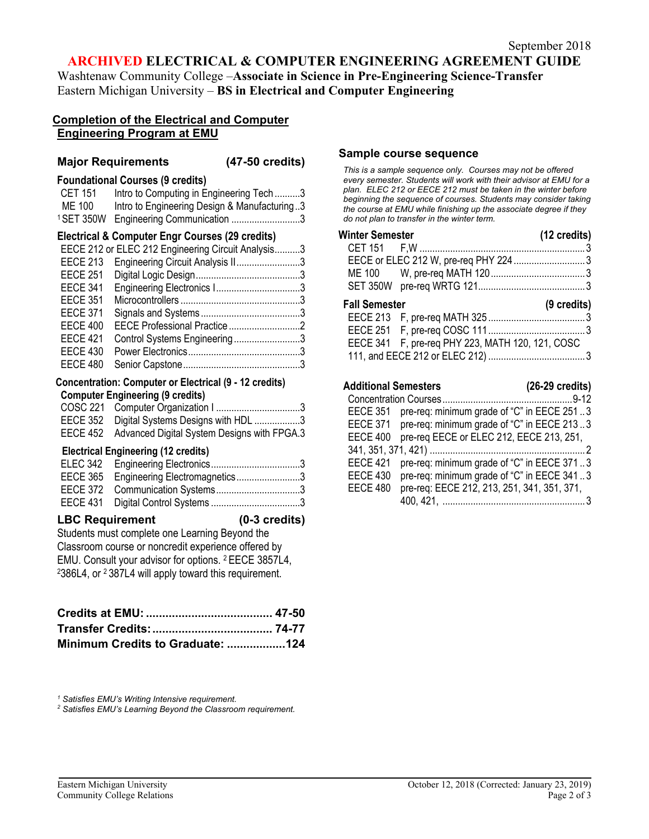# **ARCHIVED ELECTRICAL & COMPUTER ENGINEERING AGREEMENT GUIDE**

Washtenaw Community College –**Associate in Science in Pre-Engineering Science-Transfer** Eastern Michigan University – **BS in Electrical and Computer Engineering**

# **Completion of the Electrical and Computer Engineering Program at EMU**

### **Major Requirements (47-50 credits)**

### **Foundational Courses (9 credits)**

| CET 151 | Intro to Computing in Engineering Tech3           |
|---------|---------------------------------------------------|
| ME 100  | Intro to Engineering Design & Manufacturing3      |
|         | <sup>1</sup> SET 350W Engineering Communication 3 |

### **Electrical & Computer Engr Courses (29 credits)**

|                 | EECE 212 or ELEC 212 Engineering Circuit Analysis3 |  |
|-----------------|----------------------------------------------------|--|
| <b>EECE 213</b> | Engineering Circuit Analysis II3                   |  |
| <b>EECE 251</b> |                                                    |  |
| <b>EECE 341</b> | Engineering Electronics I3                         |  |
| <b>EECE 351</b> |                                                    |  |
| <b>EECE 371</b> |                                                    |  |
| <b>EECE 400</b> |                                                    |  |
| <b>EECE 421</b> | Control Systems Engineering3                       |  |
| <b>EECE 430</b> |                                                    |  |
| <b>EECE 480</b> |                                                    |  |

#### **Concentration: Computer or Electrical (9 - 12 credits) Computer Engineering (9 credits)**

| EECE 352 Digital Systems Designs with HDL 3          |  |
|------------------------------------------------------|--|
| EECE 452 Advanced Digital System Designs with FPGA.3 |  |

# **Electrical Engineering (12 credits)**

| EECE 365 Engineering Electromagnetics3 |  |
|----------------------------------------|--|
|                                        |  |
|                                        |  |
|                                        |  |

#### **LBC Requirement (0-3 credits)**

Students must complete one Learning Beyond the Classroom course or noncredit experience offered by EMU. Consult your advisor for options. 2 EECE 3857L4, 2386L4, or 2 387L4 will apply toward this requirement.

| Minimum Credits to Graduate: 124 |  |
|----------------------------------|--|

*<sup>1</sup> Satisfies EMU's Writing Intensive requirement.* 

*<sup>2</sup> Satisfies EMU's Learning Beyond the Classroom requirement.* 

#### **Sample course sequence**

*This is a sample sequence only. Courses may not be offered every semester. Students will work with their advisor at EMU for a plan. ELEC 212 or EECE 212 must be taken in the winter before beginning the sequence of courses. Students may consider taking the course at EMU while finishing up the associate degree if they do not plan to transfer in the winter term.* 

| Winter Semester |                                       | $(12 \text{ credits})$ |
|-----------------|---------------------------------------|------------------------|
|                 |                                       |                        |
|                 | EECE or ELEC 212 W, pre-req PHY 224 3 |                        |
|                 |                                       |                        |
|                 |                                       |                        |
|                 |                                       |                        |

#### **Fall Semester (9 credits)** EECE 213 F, pre-req MATH 325 ......................................3 EECE 251 F, pre-req COSC 111......................................3 EECE 341 F, pre-req PHY 223, MATH 120, 121, COSC 111, and EECE 212 or ELEC 212) ......................................3

### **Additional Semesters (26-29 credits)** Concentration Courses...................................................9-12 EECE 351 pre-req: minimum grade of "C" in EECE 251 ..3 EECE 371 pre-req: minimum grade of "C" in EECE 213 ..3 EECE 400 pre-req EECE or ELEC 212, EECE 213, 251, 341, 351, 371, 421) .............................................................2 EECE 421 pre-req: minimum grade of "C" in EECE 371 ..3 EECE 430 pre-req: minimum grade of "C" in EECE 341 ..3 EECE 480 pre-req: EECE 212, 213, 251, 341, 351, 371,

400, 421, ........................................................3